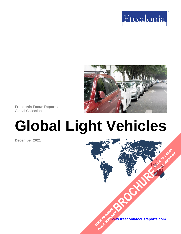



**Freedonia Focus Reports** Global Collection

# **Global Light Vehicles**

**December 2021**

**[www.freedoniafocusreports.com](https://www.freedoniafocusreports.com/redirect.asp?progid=89534&url=/)** CLICK TO ORDER **FULL REPORT** 

**[BROCHURE](https://www.freedoniafocusreports.com/Global-Light-Vehicles-FW85015/?progid=89541) CLICK TO ORDER** 

**FULL REPORT**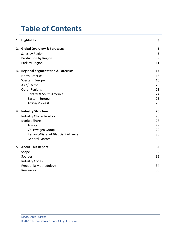# **Table of Contents**

|    | 1. Highlights                                | 3  |
|----|----------------------------------------------|----|
|    | 2. Global Overview & Forecasts               | 5  |
|    | Sales by Region                              | 5  |
|    | Production by Region                         | 9  |
|    | Park by Region                               | 11 |
| 3. | <b>Regional Segmentation &amp; Forecasts</b> | 13 |
|    | North America                                | 13 |
|    | <b>Western Europe</b>                        | 16 |
|    | Asia/Pacific                                 | 20 |
|    | <b>Other Regions</b>                         | 23 |
|    | <b>Central &amp; South America</b>           | 24 |
|    | Eastern Europe                               | 25 |
|    | Africa/Mideast                               | 25 |
|    | 4. Industry Structure                        | 26 |
|    | <b>Industry Characteristics</b>              | 26 |
|    | <b>Market Share</b>                          | 28 |
|    | Toyota                                       | 29 |
|    | Volkswagen Group                             | 29 |
|    | Renault-Nissan-Mitsubishi Alliance           | 30 |
|    | <b>General Motors</b>                        | 30 |
|    | 5. About This Report                         | 32 |
|    | Scope                                        | 32 |
|    | Sources                                      | 32 |
|    | <b>Industry Codes</b>                        | 33 |
|    | Freedonia Methodology                        | 34 |
|    | Resources                                    | 36 |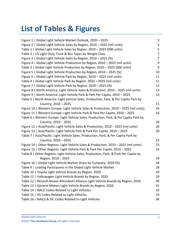# **List of Tables & Figures**

| Figure 1   Global Light Vehicle Market Outlook, 2020 - 2025                           | 3              |
|---------------------------------------------------------------------------------------|----------------|
| Figure 2   Global Light Vehicle Sales by Region, 2010 - 2025 (mil units)              | 5              |
| Table 1   Global Light Vehicle Sales by Region, 2010 - 2025 (000 units)               | 5              |
| Table 2   US Light-Duty Truck & Bus Types by Weight Class                             | $\overline{7}$ |
| Figure 3   Global Light Vehicle Sales by Region, 2010 - 2025 (%)                      | 7              |
| Figure 4   Global Light Vehicle Production by Region, 2010 - 2025 (mil units)         | 9              |
| Table 3   Global Light Vehicle Production by Region, 2010 - 2025 (000 units)          | 9              |
| Figure 5   Global Light Vehicle Production by Region, 2010 - 2025 (%)                 | 10             |
| Figure 6   Global Light Vehicle Park by Region, 2010 - 2025 (mil units)               | 11             |
| Table 4   Global Light Vehicle Park by Region, 2010 - 2025 (mil units)                | 11             |
| Figure 7   Global Light Vehicle Park by Region, 2010 - 2025 (%)                       | 12             |
| Figure 8   North America: Light Vehicle Sales & Production, 2010 - 2025 (mil units)   | 13             |
| Figure 9   North America: Light Vehicle Park & Park Per Capita, 2010 - 2025           | 13             |
| Table 5   North America: Light Vehicle Sales, Production, Park, & Per Capita Park by  |                |
| Country, 2010 - 2025                                                                  | 15             |
| Figure 10   Western Europe: Light Vehicle Sales & Production, 2010 - 2025 (mil units) | 16             |
| Figure 11   Western Europe: Light Vehicle Park & Park Per Capita, 2010 - 2025         | 16             |
| Table 6   Western Europe: Light Vehicle Sales, Production, Park, & Per Capita Park by |                |
| Country, 2010 - 2025                                                                  | 18             |
| Figure 12   Asia/Pacific: Light Vehicle Sales & Production, 2010 - 2025 (mil units)   | 20             |
| Figure 13   Asia/Pacific: Light Vehicle Park & Park Per Capita, 2010 - 2025           | 20             |
| Table 7   Asia/Pacific: Light Vehicle Sales, Production, Park, & Per Capita Park by   |                |
| Country, 2010 - 2025                                                                  | 22             |
| Figure 14   Other Regions: Light Vehicle Sales & Production, 2010 - 2025 (mil units)  | 23             |
| Figure 15   Other Regions: Light Vehicle Park & Park Per Capita, 2010 - 2025          | 23             |
| Table 8   Other Regions: Light Vehicle Sales, Production, Park, & Park Per Capita by  |                |
| Region, 2010 - 2025                                                                   | 24             |
| Figure 16   Global Light Vehicle Market Share by Company, 2020 (%)                    | 28             |
| Table 9   Leading Participants in the Global Light Vehicle Market                     | 28             |
| Table 10   Toyota Light Vehicle Brands by Region, 2020                                | 29             |
| Table 11   Volkswagen Light Vehicle Brands by Region, 2020                            | 29             |
| Table 12   Renault-Nissan-Mitsubishi Alliance Light Vehicle Brands by Region, 2020    | 30             |
| Table 13   General Motors Light Vehicle Brands by Region, 2020                        | 31             |
| Table 14   NACE Codes Related to Light Vehicles                                       | 33             |
| Table 15   HS Codes Related to Light Vehicles                                         | 33             |
| Table 16   NAICS & SIC Codes Related to Light Vehicles                                | 34             |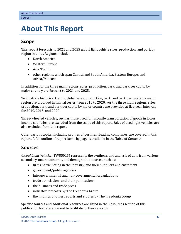## <span id="page-3-0"></span>**5. About This Report**

## <span id="page-3-1"></span>**Scope**

This report forecasts to 2021 and 2025 global light vehicle sales, production, and park by region in units. Regions include:

- North America
- Western Europe
- Asia/Pacific
- other regions, which span Central and South America, Eastern Europe, and Africa/Mideast

In addition, for the three main regions, sales, production, park, and park per capita by major country are forecast to 2021 and 2025.

To illustrate historical trends, global sales, production, park, and park per capita by major region are provided in annual series from 2010 to 2020. For the three main regions, sales, production, park, and park per capita by major country are provided at five-year intervals for 2010, 2015, and 2020.

Three-wheeled vehicles, such as those used for last-mile transportation of goods in lower income countries, are excluded from the scope of this report. Sales of used light vehicles are also excluded from this report.

Other various topics, including profiles of pertinent leading companies, are covered in this report. A full outline of report items by page is available in the Table of Contents.

## <span id="page-3-2"></span>**Sources**

*Global Light Vehicles* (FW85015) represents the synthesis and analysis of data from various secondary, macroeconomic, and demographic sources, such as:

- firms participating in the industry, and their suppliers and customers
- government/public agencies
- intergovernmental and non-governmental organizations
- trade associations and their publications
- the business and trade press
- indicator forecasts by The Freedonia Group
- the findings of other reports and studies by The Freedonia Group

Specific sources and additional resources are listed in the Resources section of this publication for reference and to facilitate further research.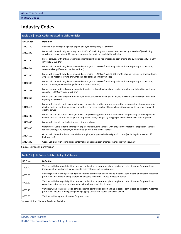## <span id="page-4-0"></span>**Industry Codes**

#### <span id="page-4-1"></span>**Table 14 | NACE Codes Related to Light Vehicles**

| <b>NACE Code</b> | <b>Definition</b>                                                                                                                                                                                                                                              |
|------------------|----------------------------------------------------------------------------------------------------------------------------------------------------------------------------------------------------------------------------------------------------------------|
| 29102100         | Vehicles with only spark-ignition engine of a cylinder capacity $\leq 1500$ cm <sup>3</sup>                                                                                                                                                                    |
| 29102230         | Motor vehicles with only petrol engine > 1 500 cm <sup>3</sup> (including motor caravans of a capacity > 3 000 cm <sup>3</sup> ) (excluding<br>vehicles for transporting $\geq 10$ persons, snowmobiles, golf cars and similar vehicles)                       |
| 29102250         | Motor caravans with only spark-ignition internal combustion reciprocating piston engine of a cylinder capacity > 1 500<br>cm <sup>3</sup> but $\leq$ 3 000 cm <sup>3</sup>                                                                                     |
| 29102310         | Motor vehicles with only diesel or semi-diesel engine $\leq 1.500 \text{ cm}^3$ (excluding vehicles for transporting $\geq 10 \text{ persons}$ ,<br>snowmobiles, golf cars and similar vehicles)                                                               |
| 29102330         | Motor vehicles with only diesel or semi-diesel engine > 1500 cm <sup>3</sup> but $\leq$ 2500 cm <sup>3</sup> (excluding vehicles for transporting $\geq$<br>10 persons, motor caravans, snowmobiles, golf cars and similar vehicles)                           |
| 29102340         | Motor vehicles with only diesel or semi-diesel engine > 2 500 cm <sup>3</sup> (excluding vehicles for transporting $\geq 10$ persons,<br>motor caravans, snowmobiles, golf cars and similar vehicles)                                                          |
| 29102353         | Motor caravans with only compression-ignition internal combustion piston engine (diesel or semi-diesel) of a cylinder<br>capacity > 1 500 cm <sup>3</sup> but $\leq$ 2 500 cm <sup>3</sup>                                                                     |
| 29102355         | Motor caravans with only compression-ignition internal combustion piston engine (diesel or semi-diesel) of a cylinder<br>capacity $> 2$ 500 cm <sup>3</sup>                                                                                                    |
| 29102410         | Motor vehicles, with both spark-ignition or compression-ignition internal combustion reciprocating piston engine and<br>electric motor as motors for propulsion, other than those capable of being charged by plugging to external source of<br>electric power |
| 29102430         | Motor vehicles, with both spark-ignition or compression-ignition internal combustion reciprocating piston engine and<br>electric motor as motors for propulsion, capable of being charged by plugging to external source of electric power                     |
| 29102450         | Motor vehicles, with only electric motor for propulsion                                                                                                                                                                                                        |
| 29102490         | Other motor vehicles for the transport of persons (excluding vehicles with only electric motor for propulsion, vehicles<br>for transporting $\geq 10$ persons, snowmobiles, golf cars and similar vehicles)                                                    |
| 29104110         | Goods vehicles with a diesel or semi-diesel engine, of a gross vehicle weight $\leq$ 5 tonnes (excluding dumpers for off-<br>highway use)                                                                                                                      |
| 29104200         | Goods vehicles, with spark-ignition internal combustion piston engine; other goods vehicles, new                                                                                                                                                               |

Source: European Commission

<span id="page-4-2"></span>

| Table 15   HS Codes Related to Light Vehicles |                                                                                                                                                                                                                      |  |  |  |  |
|-----------------------------------------------|----------------------------------------------------------------------------------------------------------------------------------------------------------------------------------------------------------------------|--|--|--|--|
| <b>HS Code</b>                                | <b>Definition</b>                                                                                                                                                                                                    |  |  |  |  |
| 8703.40                                       | Vehicles; with both spark-ignition internal combustion reciprocating piston engine and electric motor for propulsion,<br>incapable of being charged by plugging to external source of electric power                 |  |  |  |  |
| 8703.50                                       | Vehicles; with both compression-ignition internal combustion piston engine (diesel or semi-diesel) and electric motor for<br>propulsion, incapable of being charged by plugging to external source of electric power |  |  |  |  |
| 8703.60                                       | Vehicles; with both spark-ignition internal combustion reciprocating piston engine and electric motor for propulsion,<br>capable of being charged by plugging to external source of electric power                   |  |  |  |  |
| 8703.70                                       | Vehicles; with both compression-ignition internal combustion piston engine (diesel or semi-diesel) and electric motor for<br>propulsion, capable of being charged by plugging to external source of electric power   |  |  |  |  |
| 8703.80                                       | Vehicles; with only electric motor for propulsion                                                                                                                                                                    |  |  |  |  |

Source: United Nations Statistics Division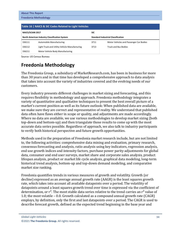<span id="page-5-1"></span>

| Table 16   NAICS & SIC Codes Related to Light Vehicles |                                               |            |                                           |  |  |
|--------------------------------------------------------|-----------------------------------------------|------------|-------------------------------------------|--|--|
| NAICS/SCIAN 2017                                       |                                               | <b>SIC</b> |                                           |  |  |
| <b>North American Industry Classification System</b>   |                                               |            | <b>Standard Industrial Classification</b> |  |  |
| 336111                                                 | <b>Automobile Manufacturing</b>               | 3711       | Motor Vehicles and Passenger Car Bodies   |  |  |
| 336112                                                 | Light Truck and Utility Vehicle Manufacturing | 3713       | <b>Truck and Bus Bodies</b>               |  |  |
| 336211                                                 | Motor Vehicle Body Manufacturing              |            |                                           |  |  |

Source: US Census Bureau

## <span id="page-5-0"></span>**Freedonia Methodology**

The Freedonia Group, a subsidiary of MarketResearch.com, has been in business for more than 30 years and in that time has developed a comprehensive approach to data analysis that takes into account the variety of industries covered and the evolving needs of our customers.

Every industry presents different challenges in market sizing and forecasting, and this requires flexibility in methodology and approach. Freedonia methodology integrates a variety of quantitative and qualitative techniques to present the best overall picture of a market's current position as well as its future outlook: When published data are available, we make sure they are correct and representative of reality. We understand that published data often have flaws either in scope or quality, and adjustments are made accordingly. Where no data are available, we use various methodologies to develop market sizing (both top-down and bottom-up) and then triangulate those results to come up with the most accurate data series possible. Regardless of approach, we also talk to industry participants to verify both historical perspective and future growth opportunities.

Methods used in the preparation of Freedonia market research include, but are not limited to, the following activities: comprehensive data mining and evaluation, primary research, consensus forecasting and analysis, ratio analysis using key indicators, regression analysis, end use growth indices and intensity factors, purchase power parity adjustments for global data, consumer and end user surveys, market share and corporate sales analysis, product lifespan analysis, product or market life cycle analysis, graphical data modeling, long-term historical trend analysis, bottom-up and top-down demand modeling, and comparative market size ranking.

Freedonia quantifies trends in various measures of growth and volatility. Growth (or decline) expressed as an average annual growth rate (AAGR) is the least squares growth rate, which takes into account all available datapoints over a period. The volatility of datapoints around a least squares growth trend over time is expressed via the coefficient of determination, or  $r^2$ . The most stable data series relative to the trend carries an  $r^2$  value of 1.0; the most volatile – 0.0. Growth calculated as a compound annual growth rate (CAGR) employs, by definition, only the first and last datapoints over a period. The CAGR is used to describe forecast growth, defined as the expected trend beginning in the base year and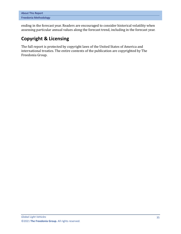| <b>About This Report</b> |  |
|--------------------------|--|
| Freedonia Methodology    |  |

ending in the forecast year. Readers are encouraged to consider historical volatility when assessing particular annual values along the forecast trend, including in the forecast year.

## **Copyright & Licensing**

The full report is protected by copyright laws of the United States of America and international treaties. The entire contents of the publication are copyrighted by The Freedonia Group.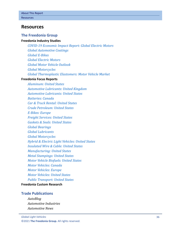## <span id="page-7-0"></span>**Resources**

### **The Freedonia Group**

#### **[Freedonia Industry Studies](http://www.freedoniagroup.com/Home.aspx?ReferrerId=FL-Focus)**

*[COVID-19 Economic Impact Report: Global Electric Motors](http://www.freedoniagroup.com/DocumentDetails.aspx?ReferrerId=FL-FOCUS&studyid=IR60) [Global Automotive Coatings](http://www.freedoniagroup.com/DocumentDetails.aspx?ReferrerId=FL-FOCUS&studyid=4111) [Global E-Bikes](http://www.freedoniagroup.com/DocumentDetails.aspx?ReferrerId=FL-FOCUS&studyid=3867) [Global Electric](http://www.freedoniagroup.com/DocumentDetails.aspx?ReferrerId=FL-FOCUS&studyid=W1002) Motors [Global Motor Vehicle Outlook](http://www.freedoniagroup.com/DocumentDetails.aspx?ReferrerId=FL-FOCUS&studyid=3838) [Global Motorcycles](http://www.freedoniagroup.com/DocumentDetails.aspx?ReferrerId=FL-FOCUS&studyid=3827) [Global Thermoplastic Elastomers: Motor Vehicle Market](http://www.freedoniagroup.com/DocumentDetails.aspx?ReferrerId=FL-FOCUS&studyid=3923)*

#### **[Freedonia Focus](https://www.freedoniafocusreports.com/redirect.asp?progid=89534&url=/) Reports**

*[Aluminum: United States](https://www.freedoniafocusreports.com/Aluminum-United-States-FF65010/?progid=89534) [Automotive Lubricants: United Kingdom](https://www.freedoniafocusreports.com/Automotive-Lubricants-United-Kingdom-FB35115/?progid=89534) [Automotive Lubricants: United States](https://www.freedoniafocusreports.com/Automotive-Lubricants-United-States-FF35115/?progid=89534) [Batteries: Canada](https://www.freedoniafocusreports.com/Batteries-Canada-FA45011/?progid=89534) [Car & Truck Rental: United States](https://www.freedoniafocusreports.com/Car-Truck-Rental-United-States-FF95086/?progid=89534) [Crude Petroleum: United States](https://www.freedoniafocusreports.com/Crude-Petroleum-United-States-FF45019/?progid=89534) [E-Bikes: Europe](https://www.freedoniafocusreports.com/E-Bikes-Europe-FE85045/?progid=89534) [Freight Services: United States](https://www.freedoniafocusreports.com/Freight-Services-United-States-FF95064/?progid=89534) [Gaskets & Seals: United States](https://www.freedoniafocusreports.com/Gaskets-Seals-United-States-FF50012/?progid=89534) [Global Bearings](https://www.freedoniafocusreports.com/Global-Bearings-FW70019/?progid=89534) [Global Lubricants](https://www.freedoniafocusreports.com/Global-Lubricants-FW35022/?progid=89534) [Global Motorcycles](https://www.freedoniafocusreports.com/Global-Motorcycles-FW85016/?progid=89534) [Hybrid & Electric Light Vehicles: United States](https://www.freedoniafocusreports.com/Hybrid-Electric-Light-Vehicles-United-States-FF85044/?progid=89534) [Insulated Wire & Cable: United States](https://www.freedoniafocusreports.com/Insulated-Wire-Cable-United-States-FF75031/?progid=89534) [Manufacturing:](https://www.freedoniafocusreports.com/Manufacturing-United-States-FF70032/?progid=89534) United States [Metal Stampings: United States](https://www.freedoniafocusreports.com/Metal-Stampings-United-States-FF70014/?progid=89534) [Motor Vehicle Biofuels: United States](https://www.freedoniafocusreports.com/Motor-Vehicle-Biofuels-United-States-FF45035/?progid=89534) [Motor Vehicles: Canada](https://www.freedoniafocusreports.com/Motor-Vehicles-Canada-FA85029/?progid=89534) [Motor Vehicles: Europe](https://www.freedoniafocusreports.com/Motor-Vehicles-Europe-FE85029/?progid=89534) [Motor Vehicles: United States](https://www.freedoniafocusreports.com/Motor-Vehicles-United-States-FF85029/?progid=89534) [Public Transport: United States](https://www.freedoniafocusreports.com/Public-Transport-United-States-FF95059/?progid=89534)*

#### **[Freedonia Custom Research](http://www.freedoniagroup.com/CustomResearch.aspx?ReferrerId=FL-Focus)**

#### **Trade Publications**

*AutoBlog Automotive Industries Automotive News*